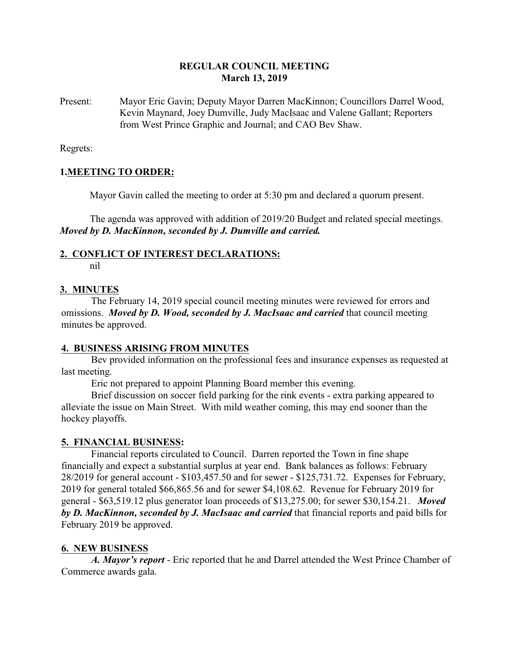#### **REGULAR COUNCIL MEETING March 13, 2019**

Present: Mayor Eric Gavin; Deputy Mayor Darren MacKinnon; Councillors Darrel Wood, Kevin Maynard, Joey Dumville, Judy MacIsaac and Valene Gallant; Reporters from West Prince Graphic and Journal; and CAO Bev Shaw.

Regrets:

#### **1.MEETING TO ORDER:**

Mayor Gavin called the meeting to order at 5:30 pm and declared a quorum present.

The agenda was approved with addition of 2019/20 Budget and related special meetings. *Moved by D. MacKinnon, seconded by J. Dumville and carried.*

# **2. CONFLICT OF INTEREST DECLARATIONS:**

nil

#### **3. MINUTES**

The February 14, 2019 special council meeting minutes were reviewed for errors and omissions. *Moved by D. Wood, seconded by J. MacIsaac and carried* that council meeting minutes be approved.

#### **4. BUSINESS ARISING FROM MINUTES**

Bev provided information on the professional fees and insurance expenses as requested at last meeting.

Eric not prepared to appoint Planning Board member this evening.

Brief discussion on soccer field parking for the rink events - extra parking appeared to alleviate the issue on Main Street. With mild weather coming, this may end sooner than the hockey playoffs.

#### **5. FINANCIAL BUSINESS:**

Financial reports circulated to Council. Darren reported the Town in fine shape financially and expect a substantial surplus at year end. Bank balances as follows: February 28/2019 for general account - \$103,457.50 and for sewer - \$125,731.72. Expenses for February, 2019 for general totaled \$66,865.56 and for sewer \$4,108.62. Revenue for February 2019 for general - \$63,519.12 plus generator loan proceeds of \$13,275.00; for sewer \$30,154.21. *Moved by D. MacKinnon, seconded by J. MacIsaac and carried* that financial reports and paid bills for February 2019 be approved.

## **6. NEW BUSINESS**

*A. Mayor's report* - Eric reported that he and Darrel attended the West Prince Chamber of Commerce awards gala.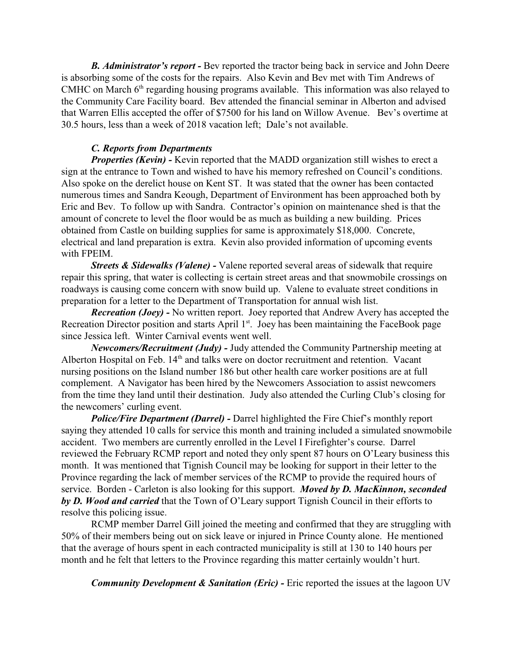*B. Administrator's report -* Bev reported the tractor being back in service and John Deere is absorbing some of the costs for the repairs. Also Kevin and Bev met with Tim Andrews of CMHC on March 6<sup>th</sup> regarding housing programs available. This information was also relayed to the Community Care Facility board. Bev attended the financial seminar in Alberton and advised that Warren Ellis accepted the offer of \$7500 for his land on Willow Avenue. Bev's overtime at 30.5 hours, less than a week of 2018 vacation left; Dale's not available.

#### *C. Reports from Departments*

*Properties (Kevin)* - Kevin reported that the MADD organization still wishes to erect a sign at the entrance to Town and wished to have his memory refreshed on Council's conditions. Also spoke on the derelict house on Kent ST. It was stated that the owner has been contacted numerous times and Sandra Keough, Department of Environment has been approached both by Eric and Bev. To follow up with Sandra. Contractor's opinion on maintenance shed is that the amount of concrete to level the floor would be as much as building a new building. Prices obtained from Castle on building supplies for same is approximately \$18,000. Concrete, electrical and land preparation is extra. Kevin also provided information of upcoming events with FPEIM.

*Streets & Sidewalks (Valene) -* Valene reported several areas of sidewalk that require repair this spring, that water is collecting is certain street areas and that snowmobile crossings on roadways is causing come concern with snow build up. Valene to evaluate street conditions in preparation for a letter to the Department of Transportation for annual wish list.

*Recreation (Joey) -* No written report. Joey reported that Andrew Avery has accepted the Recreation Director position and starts April  $1<sup>st</sup>$ . Joey has been maintaining the FaceBook page since Jessica left. Winter Carnival events went well.

*Newcomers/Recruitment (Judy) -* Judy attended the Community Partnership meeting at Alberton Hospital on Feb. 14<sup>th</sup> and talks were on doctor recruitment and retention. Vacant nursing positions on the Island number 186 but other health care worker positions are at full complement. A Navigator has been hired by the Newcomers Association to assist newcomers from the time they land until their destination. Judy also attended the Curling Club's closing for the newcomers' curling event.

*Police/Fire Department (Darrel) -* Darrel highlighted the Fire Chief's monthly report saying they attended 10 calls for service this month and training included a simulated snowmobile accident. Two members are currently enrolled in the Level I Firefighter's course. Darrel reviewed the February RCMP report and noted they only spent 87 hours on O'Leary business this month. It was mentioned that Tignish Council may be looking for support in their letter to the Province regarding the lack of member services of the RCMP to provide the required hours of service. Borden - Carleton is also looking for this support. *Moved by D. MacKinnon, seconded by D. Wood and carried* that the Town of O'Leary support Tignish Council in their efforts to resolve this policing issue.

RCMP member Darrel Gill joined the meeting and confirmed that they are struggling with 50% of their members being out on sick leave or injured in Prince County alone. He mentioned that the average of hours spent in each contracted municipality is still at 130 to 140 hours per month and he felt that letters to the Province regarding this matter certainly wouldn't hurt.

*Community Development & Sanitation (Eric)* - Eric reported the issues at the lagoon UV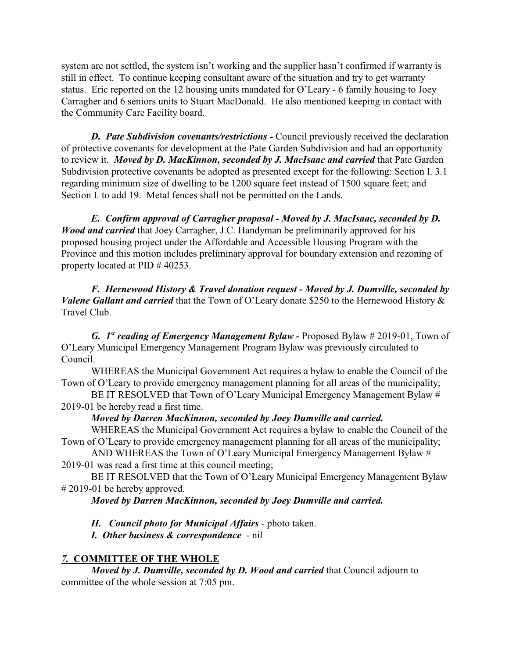system are not settled, the system isn't working and the supplier hasn't confirmed if warranty is still in effect. To continue keeping consultant aware of the situation and try to get warranty status. Eric reported on the 12 housing units mandated for O'Leary - 6 family housing to Joey Carragher and 6 seniors units to Stuart MacDonald. He also mentioned keeping in contact with the Community Care Facility board.

**D.** Pate Subdivision covenants/restrictions - Council previously received the declaration of protective covenants for development at the Pate Garden Subdivision and had an opportunity to review it. *Moved by D. MacKinnon, seconded by J. MacIsaac and carried* that Pate Garden Subdivision protective covenants be adopted as presented except for the following: Section I. 3.1 regarding minimum size of dwelling to be 1200 square feet instead of 1500 square feet; and Section I. to add 19. Metal fences shall not be permitted on the Lands.

*E. Confirm approval of Carragher proposal - Moved by J. MacIsaac, seconded by D. Wood and carried* that Joey Carragher, J.C. Handyman be preliminarily approved for his proposed housing project under the Affordable and Accessible Housing Program with the Province and this motion includes preliminary approval for boundary extension and rezoning of property located at PID # 40253.

*F. Hernewood History & Travel donation request - Moved by J. Dumville, seconded by Valene Gallant and carried* that the Town of O'Leary donate \$250 to the Hernewood History & Travel Club.

*G. 1st reading of Emergency Management Bylaw -* Proposed Bylaw # 2019-01, Town of O'Leary Municipal Emergency Management Program Bylaw was previously circulated to Council.

WHEREAS the Municipal Government Act requires a bylaw to enable the Council of the Town of O'Leary to provide emergency management planning for all areas of the municipality;

BE IT RESOLVED that Town of O'Leary Municipal Emergency Management Bylaw # 2019-01 be hereby read a first time.

## *Moved by Darren MacKinnon, seconded by Joey Dumville and carried.*

WHEREAS the Municipal Government Act requires a bylaw to enable the Council of the Town of O'Leary to provide emergency management planning for all areas of the municipality;

AND WHEREAS the Town of O'Leary Municipal Emergency Management Bylaw # 2019-01 was read a first time at this council meeting;

BE IT RESOLVED that the Town of O'Leary Municipal Emergency Management Bylaw # 2019-01 be hereby approved.

## *Moved by Darren MacKinnon, seconded by Joey Dumville and carried.*

*H. Council photo for Municipal Affairs* - photo taken.

*I. Other business & correspondence* - nil

## *7.* **COMMITTEE OF THE WHOLE**

*Moved by J. Dumville, seconded by D. Wood and carried* that Council adjourn to committee of the whole session at 7:05 pm.